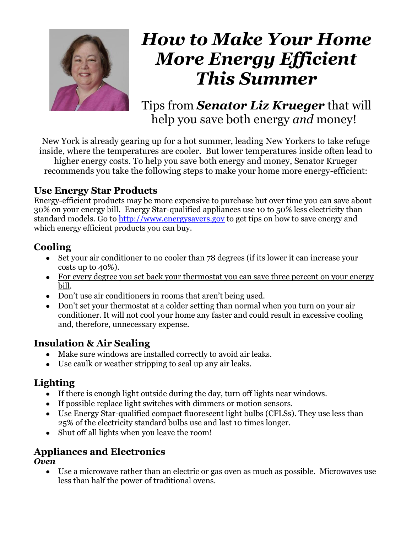

# *How to Make Your Home More Energy Efficient This Summer*

Tips from *Senator Liz Krueger* that will help you save both energy *and* money!

New York is already gearing up for a hot summer, leading New Yorkers to take refuge inside, where the temperatures are cooler. But lower temperatures inside often lead to higher energy costs. To help you save both energy and money, Senator Krueger recommends you take the following steps to make your home more energy-efficient:

### **Use Energy Star Products**

Energy-efficient products may be more expensive to purchase but over time you can save about 30% on your energy bill. Energy Star-qualified appliances use 10 to 50% less electricity than standard models. Go to [http://www.energysavers.gov](http://www.energysavers.gov/) to get tips on how to save energy and which energy efficient products you can buy.

# **Cooling**

- Set your air conditioner to no cooler than 78 degrees (if its lower it can increase your costs up to 40%).
- For every degree you set back your thermostat you can save three percent on your energy bill.
- Don't use air conditioners in rooms that aren't being used.
- Don't set your thermostat at a colder setting than normal when you turn on your air conditioner. It will not cool your home any faster and could result in excessive cooling and, therefore, unnecessary expense.

# **Insulation & Air Sealing**

- Make sure windows are installed correctly to avoid air leaks.
- Use caulk or weather stripping to seal up any air leaks.

# **Lighting**

- If there is enough light outside during the day, turn off lights near windows.
- If possible replace light switches with dimmers or motion sensors.
- Use Energy Star-qualified compact fluorescent light bulbs (CFLSs). They use less than 25% of the electricity standard bulbs use and last 10 times longer.
- Shut off all lights when you leave the room!

# **Appliances and Electronics**

#### *Oven*

Use a microwave rather than an electric or gas oven as much as possible. Microwaves use less than half the power of traditional ovens.